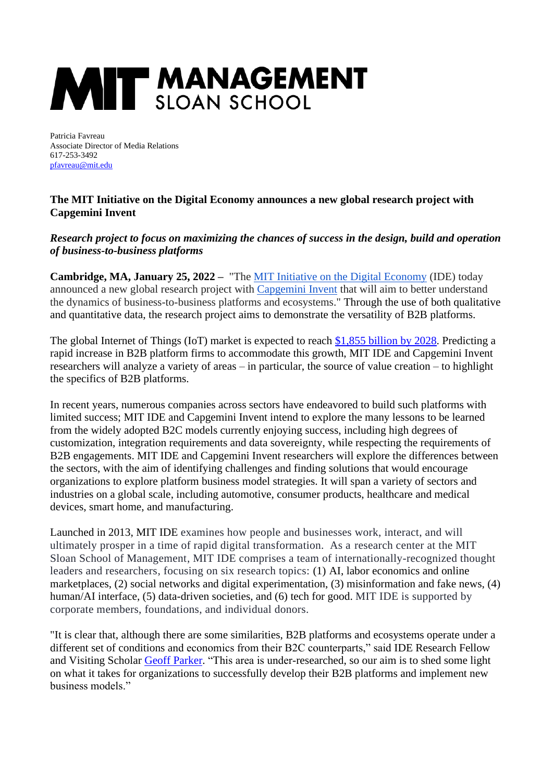## **MIT MANAGEMENT**

Patricia Favreau Associate Director of Media Relations 617-253-3492 [pfavreau@mit.edu](mailto:pfavreau@mit.edu)

## **The MIT Initiative on the Digital Economy announces a new global research project with Capgemini Invent**

## *Research project to focus on maximizing the chances of success in the design, build and operation of business-to-business platforms*

**Cambridge, MA, January 25, 2022 –** "The [MIT Initiative on the Digital Economy](https://t.sidekickopen08.com/s3t/c/5/f18dQhb0S7kF8bGj_mW25yjz_59hl3kW7_k2841CXdp3MPx41KrNDLKW2dykcV310_Ww101?te=W3R5hFj26QkH5W3H4Mmc3T3K_r4mMD61&si=8000000003680183&pi=99fb811e-8cb4-4ea4-cffd-4088fa5a273a) (IDE) today announced a new global research project with [Capgemini Invent](https://t.sidekickopen08.com/s3t/c/5/f18dQhb0S7kF8bGj_mW25yjz_59hl3kW7_k2841CXdp3MPx41KrNDLKW2dykcV310_Ww101?te=W3R5hFj4cm2zwW4mKLS-3F4FMhW3K6KS83SxHqQW3_rjjS49SzG1W3JFXq64kCJ241V3&si=8000000003680183&pi=99fb811e-8cb4-4ea4-cffd-4088fa5a273a) that will aim to better understand the dynamics of business-to-business platforms and ecosystems." Through the use of both qualitative and quantitative data, the research project aims to demonstrate the versatility of B2B platforms.

The global Internet of Things (IoT) market is expected to reach [\\$1,855 billion by 2028.](https://www.fortunebusinessinsights.com/industry-reports/internet-of-things-iot-market-100307) Predicting a rapid increase in B2B platform firms to accommodate this growth, MIT IDE and Capgemini Invent researchers will analyze a variety of areas – in particular, the source of value creation – to highlight the specifics of B2B platforms.

In recent years, numerous companies across sectors have endeavored to build such platforms with limited success; MIT IDE and Capgemini Invent intend to explore the many lessons to be learned from the widely adopted B2C models currently enjoying success, including high degrees of customization, integration requirements and data sovereignty, while respecting the requirements of B2B engagements. MIT IDE and Capgemini Invent researchers will explore the differences between the sectors, with the aim of identifying challenges and finding solutions that would encourage organizations to explore platform business model strategies. It will span a variety of sectors and industries on a global scale, including automotive, consumer products, healthcare and medical devices, smart home, and manufacturing.

Launched in 2013, MIT IDE examines how people and businesses work, interact, and will ultimately prosper in a time of rapid digital transformation. As a research center at the MIT Sloan School of Management, MIT IDE comprises a team of internationally-recognized thought leaders and researchers, focusing on six research topics: (1) AI, labor economics and online marketplaces, (2) social networks and digital experimentation, (3) misinformation and fake news, (4) human/AI interface, (5) data-driven societies, and (6) tech for good. MIT IDE is supported by corporate members, foundations, and individual donors.

"It is clear that, although there are some similarities, B2B platforms and ecosystems operate under a different set of conditions and economics from their B2C counterparts," said IDE Research Fellow and Visiting Scholar [Geoff Parker.](https://ide.mit.edu/people/geoff-parker/) "This area is under-researched, so our aim is to shed some light on what it takes for organizations to successfully develop their B2B platforms and implement new business models."